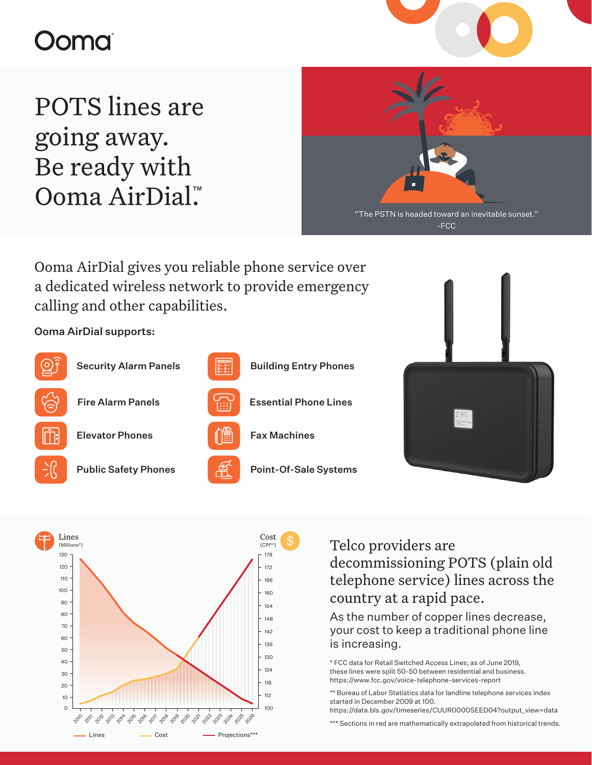# oma

POTS lines are going away. Be ready with Ooma AirDial.™



Ooma AirDial gives you reliable phone service over a dedicated wireless network to provide emergency calling and other capabilities.

### Ooma AirDial supports:







- 
- 







Telco providers are decommissioning POTS (plain old telephone service) lines across the country at a rapid pace.

As the number of copper lines decrease, your cost to keep a traditional phone line is increasing.

\* FCC data for Retail Switched Access Lines; as of June 2019, these lines were split 50-50 between residential and business. https://www.fcc.gov/voice-telephone-services-report

\*\* Bureau of Labor Statistics data for landline telephone services index started in December 2009 at 100.

https://data.bls.gov/timeseries/CUUR0000SEED04?output\_view=data

\*\*\* Sections in red are mathematically extrapolated from historical trends.